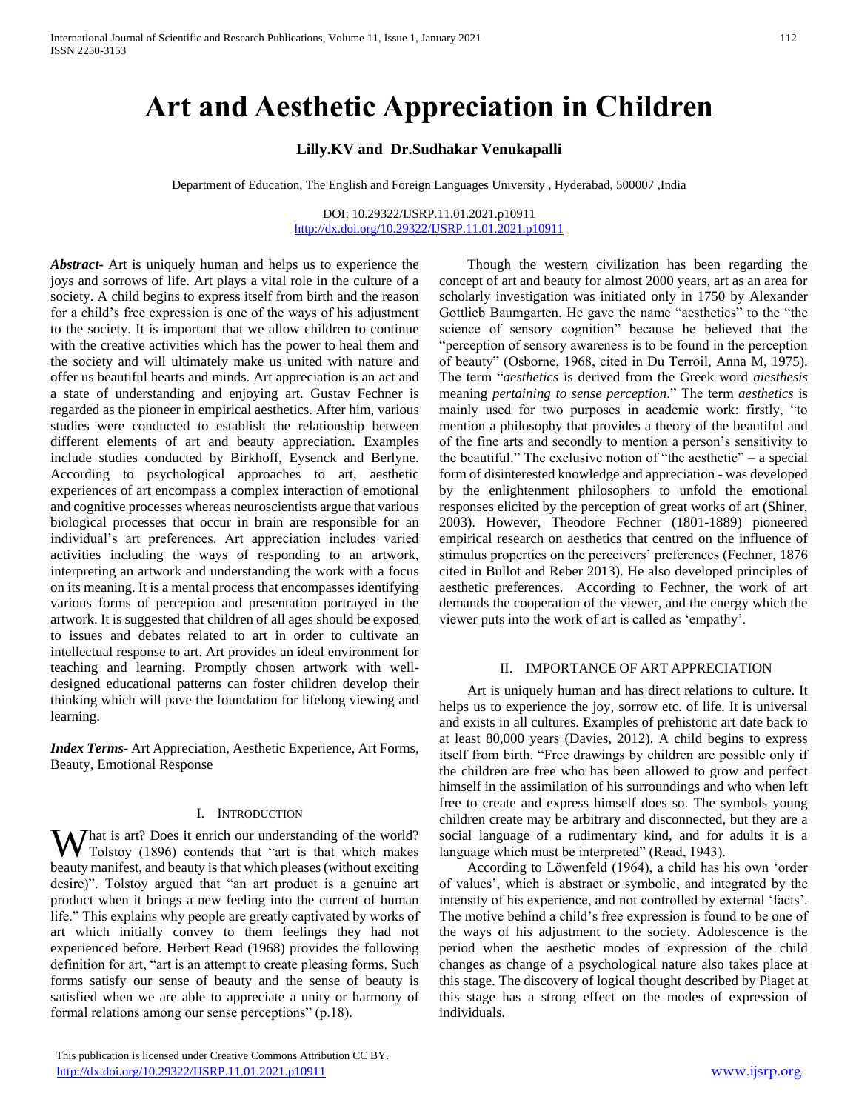# **Art and Aesthetic Appreciation in Children**

# **Lilly.KV and Dr.Sudhakar Venukapalli**

Department of Education, The English and Foreign Languages University , Hyderabad, 500007 ,India

#### DOI: 10.29322/IJSRP.11.01.2021.p10911 <http://dx.doi.org/10.29322/IJSRP.11.01.2021.p10911>

*Abstract***-** Art is uniquely human and helps us to experience the joys and sorrows of life. Art plays a vital role in the culture of a society. A child begins to express itself from birth and the reason for a child's free expression is one of the ways of his adjustment to the society. It is important that we allow children to continue with the creative activities which has the power to heal them and the society and will ultimately make us united with nature and offer us beautiful hearts and minds. Art appreciation is an act and a state of understanding and enjoying art. Gustav Fechner is regarded as the pioneer in empirical aesthetics. After him, various studies were conducted to establish the relationship between different elements of art and beauty appreciation. Examples include studies conducted by Birkhoff, Eysenck and Berlyne. According to psychological approaches to art, aesthetic experiences of art encompass a complex interaction of emotional and cognitive processes whereas neuroscientists argue that various biological processes that occur in brain are responsible for an individual's art preferences. Art appreciation includes varied activities including the ways of responding to an artwork, interpreting an artwork and understanding the work with a focus on its meaning. It is a mental process that encompasses identifying various forms of perception and presentation portrayed in the artwork. It is suggested that children of all ages should be exposed to issues and debates related to art in order to cultivate an intellectual response to art. Art provides an ideal environment for teaching and learning. Promptly chosen artwork with welldesigned educational patterns can foster children develop their thinking which will pave the foundation for lifelong viewing and learning.

*Index Terms*- Art Appreciation, Aesthetic Experience, Art Forms, Beauty, Emotional Response

#### I. INTRODUCTION

**W** hat is art? Does it enrich our understanding of the world?<br>Tolstoy (1896) contends that "art is that which makes Tolstoy (1896) contends that "art is that which makes beauty manifest, and beauty is that which pleases (without exciting desire)". Tolstoy argued that "an art product is a genuine art product when it brings a new feeling into the current of human life." This explains why people are greatly captivated by works of art which initially convey to them feelings they had not experienced before. Herbert Read (1968) provides the following definition for art, "art is an attempt to create pleasing forms. Such forms satisfy our sense of beauty and the sense of beauty is satisfied when we are able to appreciate a unity or harmony of formal relations among our sense perceptions" (p.18).

 Though the western civilization has been regarding the concept of art and beauty for almost 2000 years, art as an area for scholarly investigation was initiated only in 1750 by Alexander Gottlieb Baumgarten. He gave the name "aesthetics" to the "the science of sensory cognition" because he believed that the "perception of sensory awareness is to be found in the perception of beauty" (Osborne, 1968, cited in Du Terroil, Anna M, 1975). The term "*aesthetics* is derived from the Greek word *aiesthesis* meaning *pertaining to sense perception*." The term *aesthetics* is mainly used for two purposes in academic work: firstly, "to mention a philosophy that provides a theory of the beautiful and of the fine arts and secondly to mention a person's sensitivity to the beautiful." The exclusive notion of "the aesthetic" – a special form of disinterested knowledge and appreciation - was developed by the enlightenment philosophers to unfold the emotional responses elicited by the perception of great works of art (Shiner, 2003). However, Theodore Fechner (1801-1889) pioneered empirical research on aesthetics that centred on the influence of stimulus properties on the perceivers' preferences (Fechner, 1876 cited in Bullot and Reber 2013). He also developed principles of aesthetic preferences. According to Fechner, the work of art demands the cooperation of the viewer, and the energy which the viewer puts into the work of art is called as 'empathy'.

#### II. IMPORTANCE OF ART APPRECIATION

 Art is uniquely human and has direct relations to culture. It helps us to experience the joy, sorrow etc. of life. It is universal and exists in all cultures. Examples of prehistoric art date back to at least 80,000 years (Davies, 2012). A child begins to express itself from birth. "Free drawings by children are possible only if the children are free who has been allowed to grow and perfect himself in the assimilation of his surroundings and who when left free to create and express himself does so. The symbols young children create may be arbitrary and disconnected, but they are a social language of a rudimentary kind, and for adults it is a language which must be interpreted" (Read, 1943).

 According to Löwenfeld (1964), a child has his own 'order of values', which is abstract or symbolic, and integrated by the intensity of his experience, and not controlled by external 'facts'. The motive behind a child's free expression is found to be one of the ways of his adjustment to the society. Adolescence is the period when the aesthetic modes of expression of the child changes as change of a psychological nature also takes place at this stage. The discovery of logical thought described by Piaget at this stage has a strong effect on the modes of expression of individuals.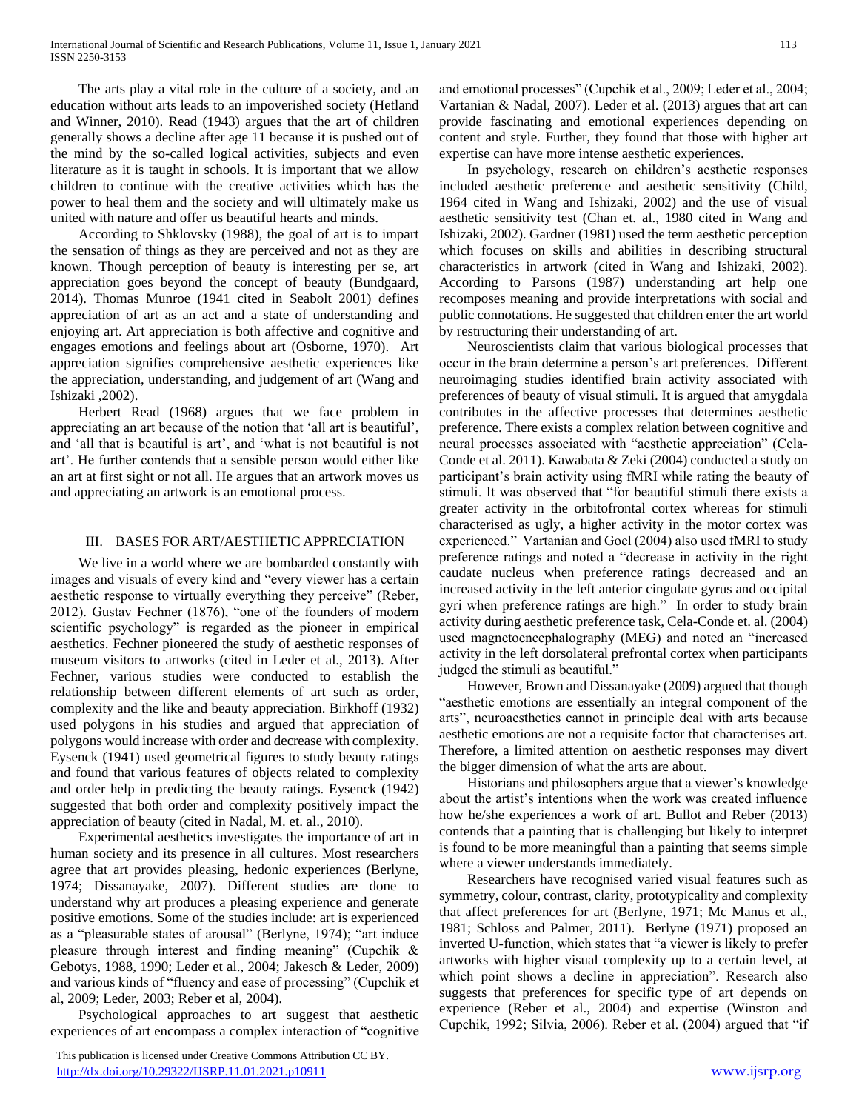The arts play a vital role in the culture of a society, and an education without arts leads to an impoverished society (Hetland and Winner, 2010). Read (1943) argues that the art of children generally shows a decline after age 11 because it is pushed out of the mind by the so-called logical activities, subjects and even literature as it is taught in schools. It is important that we allow children to continue with the creative activities which has the power to heal them and the society and will ultimately make us united with nature and offer us beautiful hearts and minds.

 According to Shklovsky (1988), the goal of art is to impart the sensation of things as they are perceived and not as they are known. Though perception of beauty is interesting per se, art appreciation goes beyond the concept of beauty (Bundgaard, 2014). Thomas Munroe (1941 cited in Seabolt 2001) defines appreciation of art as an act and a state of understanding and enjoying art. Art appreciation is both affective and cognitive and engages emotions and feelings about art (Osborne, 1970). Art appreciation signifies comprehensive aesthetic experiences like the appreciation, understanding, and judgement of art (Wang and Ishizaki ,2002).

 Herbert Read (1968) argues that we face problem in appreciating an art because of the notion that 'all art is beautiful', and 'all that is beautiful is art', and 'what is not beautiful is not art'. He further contends that a sensible person would either like an art at first sight or not all. He argues that an artwork moves us and appreciating an artwork is an emotional process.

## III. BASES FOR ART/AESTHETIC APPRECIATION

 We live in a world where we are bombarded constantly with images and visuals of every kind and "every viewer has a certain aesthetic response to virtually everything they perceive" (Reber, 2012). Gustav Fechner (1876), "one of the founders of modern scientific psychology" is regarded as the pioneer in empirical aesthetics. Fechner pioneered the study of aesthetic responses of museum visitors to artworks (cited in Leder et al., 2013). After Fechner, various studies were conducted to establish the relationship between different elements of art such as order, complexity and the like and beauty appreciation. Birkhoff (1932) used polygons in his studies and argued that appreciation of polygons would increase with order and decrease with complexity. Eysenck (1941) used geometrical figures to study beauty ratings and found that various features of objects related to complexity and order help in predicting the beauty ratings. Eysenck (1942) suggested that both order and complexity positively impact the appreciation of beauty (cited in Nadal, M. et. al., 2010).

 Experimental aesthetics investigates the importance of art in human society and its presence in all cultures. Most researchers agree that art provides pleasing, hedonic experiences (Berlyne, 1974; Dissanayake, 2007). Different studies are done to understand why art produces a pleasing experience and generate positive emotions. Some of the studies include: art is experienced as a "pleasurable states of arousal" (Berlyne, 1974); "art induce pleasure through interest and finding meaning" (Cupchik & Gebotys, 1988, 1990; Leder et al., 2004; Jakesch & Leder, 2009) and various kinds of "fluency and ease of processing" (Cupchik et al, 2009; Leder, 2003; Reber et al, 2004).

 Psychological approaches to art suggest that aesthetic experiences of art encompass a complex interaction of "cognitive

 This publication is licensed under Creative Commons Attribution CC BY. <http://dx.doi.org/10.29322/IJSRP.11.01.2021.p10911> [www.ijsrp.org](http://ijsrp.org/)

and emotional processes" (Cupchik et al., 2009; Leder et al., 2004; Vartanian & Nadal, 2007). Leder et al. (2013) argues that art can provide fascinating and emotional experiences depending on content and style. Further, they found that those with higher art expertise can have more intense aesthetic experiences.

 In psychology, research on children's aesthetic responses included aesthetic preference and aesthetic sensitivity (Child, 1964 cited in Wang and Ishizaki, 2002) and the use of visual aesthetic sensitivity test (Chan et. al., 1980 cited in Wang and Ishizaki, 2002). Gardner (1981) used the term aesthetic perception which focuses on skills and abilities in describing structural characteristics in artwork (cited in Wang and Ishizaki, 2002). According to Parsons (1987) understanding art help one recomposes meaning and provide interpretations with social and public connotations. He suggested that children enter the art world by restructuring their understanding of art.

 Neuroscientists claim that various biological processes that occur in the brain determine a person's art preferences. Different neuroimaging studies identified brain activity associated with preferences of beauty of visual stimuli. It is argued that amygdala contributes in the affective processes that determines aesthetic preference. There exists a complex relation between cognitive and neural processes associated with "aesthetic appreciation" (Cela-Conde et al. 2011). Kawabata & Zeki (2004) conducted a study on participant's brain activity using fMRI while rating the beauty of stimuli. It was observed that "for beautiful stimuli there exists a greater activity in the orbitofrontal cortex whereas for stimuli characterised as ugly, a higher activity in the motor cortex was experienced." Vartanian and Goel (2004) also used fMRI to study preference ratings and noted a "decrease in activity in the right caudate nucleus when preference ratings decreased and an increased activity in the left anterior cingulate gyrus and occipital gyri when preference ratings are high." In order to study brain activity during aesthetic preference task, Cela-Conde et. al. (2004) used magnetoencephalography (MEG) and noted an "increased activity in the left dorsolateral prefrontal cortex when participants judged the stimuli as beautiful."

 However, Brown and Dissanayake (2009) argued that though "aesthetic emotions are essentially an integral component of the arts", neuroaesthetics cannot in principle deal with arts because aesthetic emotions are not a requisite factor that characterises art. Therefore, a limited attention on aesthetic responses may divert the bigger dimension of what the arts are about.

 Historians and philosophers argue that a viewer's knowledge about the artist's intentions when the work was created influence how he/she experiences a work of art. Bullot and Reber (2013) contends that a painting that is challenging but likely to interpret is found to be more meaningful than a painting that seems simple where a viewer understands immediately.

 Researchers have recognised varied visual features such as symmetry, colour, contrast, clarity, prototypicality and complexity that affect preferences for art (Berlyne, 1971; Mc Manus et al., 1981; Schloss and Palmer, 2011). Berlyne (1971) proposed an inverted U-function, which states that "a viewer is likely to prefer artworks with higher visual complexity up to a certain level, at which point shows a decline in appreciation". Research also suggests that preferences for specific type of art depends on experience (Reber et al., 2004) and expertise (Winston and Cupchik, 1992; Silvia, 2006). Reber et al. (2004) argued that "if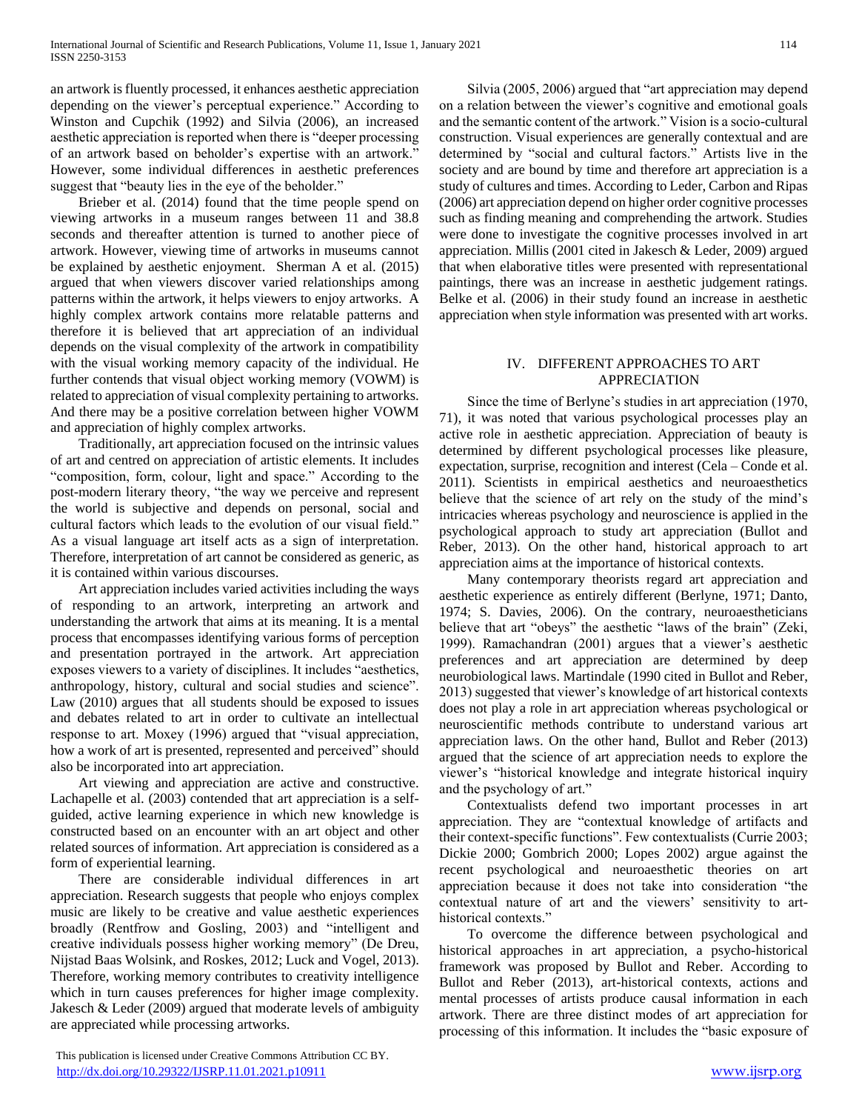an artwork is fluently processed, it enhances aesthetic appreciation depending on the viewer's perceptual experience." According to Winston and Cupchik (1992) and Silvia (2006), an increased aesthetic appreciation is reported when there is "deeper processing of an artwork based on beholder's expertise with an artwork." However, some individual differences in aesthetic preferences suggest that "beauty lies in the eye of the beholder."

 Brieber et al. (2014) found that the time people spend on viewing artworks in a museum ranges between 11 and 38.8 seconds and thereafter attention is turned to another piece of artwork. However, viewing time of artworks in museums cannot be explained by aesthetic enjoyment. Sherman A et al. (2015) argued that when viewers discover varied relationships among patterns within the artwork, it helps viewers to enjoy artworks. A highly complex artwork contains more relatable patterns and therefore it is believed that art appreciation of an individual depends on the visual complexity of the artwork in compatibility with the visual working memory capacity of the individual. He further contends that visual object working memory (VOWM) is related to appreciation of visual complexity pertaining to artworks. And there may be a positive correlation between higher VOWM and appreciation of highly complex artworks.

 Traditionally, art appreciation focused on the intrinsic values of art and centred on appreciation of artistic elements. It includes "composition, form, colour, light and space." According to the post-modern literary theory, "the way we perceive and represent the world is subjective and depends on personal, social and cultural factors which leads to the evolution of our visual field." As a visual language art itself acts as a sign of interpretation. Therefore, interpretation of art cannot be considered as generic, as it is contained within various discourses.

 Art appreciation includes varied activities including the ways of responding to an artwork, interpreting an artwork and understanding the artwork that aims at its meaning. It is a mental process that encompasses identifying various forms of perception and presentation portrayed in the artwork. Art appreciation exposes viewers to a variety of disciplines. It includes "aesthetics, anthropology, history, cultural and social studies and science". Law (2010) argues that all students should be exposed to issues and debates related to art in order to cultivate an intellectual response to art. Moxey (1996) argued that "visual appreciation, how a work of art is presented, represented and perceived" should also be incorporated into art appreciation.

 Art viewing and appreciation are active and constructive. Lachapelle et al. (2003) contended that art appreciation is a selfguided, active learning experience in which new knowledge is constructed based on an encounter with an art object and other related sources of information. Art appreciation is considered as a form of experiential learning.

 There are considerable individual differences in art appreciation. Research suggests that people who enjoys complex music are likely to be creative and value aesthetic experiences broadly (Rentfrow and Gosling, 2003) and "intelligent and creative individuals possess higher working memory" (De Dreu, Nijstad Baas Wolsink, and Roskes, 2012; Luck and Vogel, 2013). Therefore, working memory contributes to creativity intelligence which in turn causes preferences for higher image complexity. Jakesch & Leder (2009) argued that moderate levels of ambiguity are appreciated while processing artworks.

 This publication is licensed under Creative Commons Attribution CC BY. <http://dx.doi.org/10.29322/IJSRP.11.01.2021.p10911> [www.ijsrp.org](http://ijsrp.org/)

 Silvia (2005, 2006) argued that "art appreciation may depend on a relation between the viewer's cognitive and emotional goals and the semantic content of the artwork." Vision is a socio-cultural construction. Visual experiences are generally contextual and are determined by "social and cultural factors." Artists live in the society and are bound by time and therefore art appreciation is a study of cultures and times. According to Leder, Carbon and Ripas (2006) art appreciation depend on higher order cognitive processes such as finding meaning and comprehending the artwork. Studies were done to investigate the cognitive processes involved in art appreciation. Millis (2001 cited in Jakesch & Leder, 2009) argued that when elaborative titles were presented with representational paintings, there was an increase in aesthetic judgement ratings. Belke et al. (2006) in their study found an increase in aesthetic appreciation when style information was presented with art works.

# IV. DIFFERENT APPROACHES TO ART APPRECIATION

 Since the time of Berlyne's studies in art appreciation (1970, 71), it was noted that various psychological processes play an active role in aesthetic appreciation. Appreciation of beauty is determined by different psychological processes like pleasure, expectation, surprise, recognition and interest (Cela – Conde et al. 2011). Scientists in empirical aesthetics and neuroaesthetics believe that the science of art rely on the study of the mind's intricacies whereas psychology and neuroscience is applied in the psychological approach to study art appreciation (Bullot and Reber, 2013). On the other hand, historical approach to art appreciation aims at the importance of historical contexts.

 Many contemporary theorists regard art appreciation and aesthetic experience as entirely different (Berlyne, 1971; Danto, 1974; S. Davies, 2006). On the contrary, neuroaestheticians believe that art "obeys" the aesthetic "laws of the brain" (Zeki, 1999). Ramachandran (2001) argues that a viewer's aesthetic preferences and art appreciation are determined by deep neurobiological laws. Martindale (1990 cited in Bullot and Reber, 2013) suggested that viewer's knowledge of art historical contexts does not play a role in art appreciation whereas psychological or neuroscientific methods contribute to understand various art appreciation laws. On the other hand, Bullot and Reber (2013) argued that the science of art appreciation needs to explore the viewer's "historical knowledge and integrate historical inquiry and the psychology of art."

 Contextualists defend two important processes in art appreciation. They are "contextual knowledge of artifacts and their context-specific functions". Few contextualists (Currie 2003; Dickie 2000; Gombrich 2000; Lopes 2002) argue against the recent psychological and neuroaesthetic theories on art appreciation because it does not take into consideration "the contextual nature of art and the viewers' sensitivity to arthistorical contexts."

 To overcome the difference between psychological and historical approaches in art appreciation, a psycho-historical framework was proposed by Bullot and Reber. According to Bullot and Reber (2013), art-historical contexts, actions and mental processes of artists produce causal information in each artwork. There are three distinct modes of art appreciation for processing of this information. It includes the "basic exposure of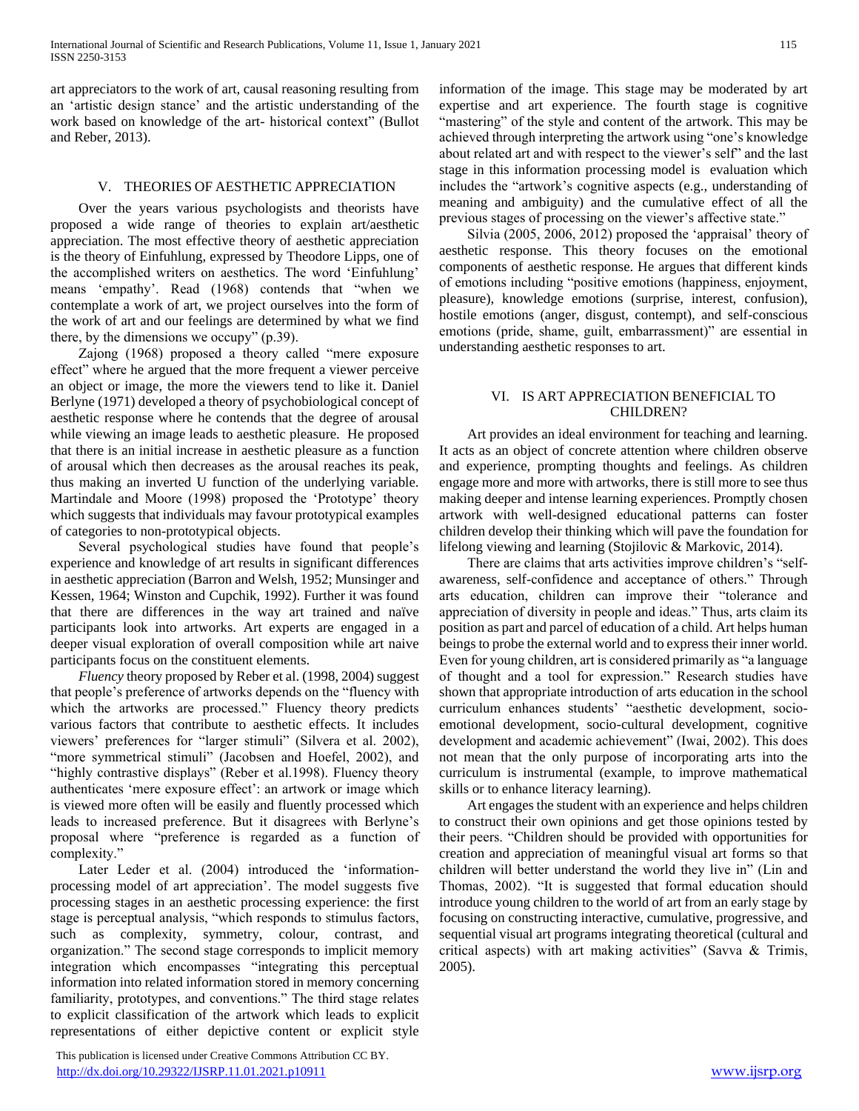art appreciators to the work of art, causal reasoning resulting from an 'artistic design stance' and the artistic understanding of the work based on knowledge of the art- historical context" (Bullot and Reber, 2013).

## V. THEORIES OF AESTHETIC APPRECIATION

 Over the years various psychologists and theorists have proposed a wide range of theories to explain art/aesthetic appreciation. The most effective theory of aesthetic appreciation is the theory of Einfuhlung, expressed by Theodore Lipps, one of the accomplished writers on aesthetics. The word 'Einfuhlung' means 'empathy'. Read (1968) contends that "when we contemplate a work of art, we project ourselves into the form of the work of art and our feelings are determined by what we find there, by the dimensions we occupy" (p.39).

 Zajong (1968) proposed a theory called "mere exposure effect" where he argued that the more frequent a viewer perceive an object or image, the more the viewers tend to like it. Daniel Berlyne (1971) developed a theory of psychobiological concept of aesthetic response where he contends that the degree of arousal while viewing an image leads to aesthetic pleasure. He proposed that there is an initial increase in aesthetic pleasure as a function of arousal which then decreases as the arousal reaches its peak, thus making an inverted U function of the underlying variable. Martindale and Moore (1998) proposed the 'Prototype' theory which suggests that individuals may favour prototypical examples of categories to non-prototypical objects.

 Several psychological studies have found that people's experience and knowledge of art results in significant differences in aesthetic appreciation (Barron and Welsh, 1952; Munsinger and Kessen, 1964; Winston and Cupchik, 1992). Further it was found that there are differences in the way art trained and naïve participants look into artworks. Art experts are engaged in a deeper visual exploration of overall composition while art naive participants focus on the constituent elements.

 *Fluency* theory proposed by Reber et al. (1998, 2004) suggest that people's preference of artworks depends on the "fluency with which the artworks are processed." Fluency theory predicts various factors that contribute to aesthetic effects. It includes viewers' preferences for "larger stimuli" (Silvera et al. 2002), "more symmetrical stimuli" (Jacobsen and Hoefel, 2002), and "highly contrastive displays" (Reber et al.1998). Fluency theory authenticates 'mere exposure effect': an artwork or image which is viewed more often will be easily and fluently processed which leads to increased preference. But it disagrees with Berlyne's proposal where "preference is regarded as a function of complexity."

Later Leder et al. (2004) introduced the 'informationprocessing model of art appreciation'. The model suggests five processing stages in an aesthetic processing experience: the first stage is perceptual analysis, "which responds to stimulus factors, such as complexity, symmetry, colour, contrast, and organization." The second stage corresponds to implicit memory integration which encompasses "integrating this perceptual information into related information stored in memory concerning familiarity, prototypes, and conventions." The third stage relates to explicit classification of the artwork which leads to explicit representations of either depictive content or explicit style

 This publication is licensed under Creative Commons Attribution CC BY. <http://dx.doi.org/10.29322/IJSRP.11.01.2021.p10911> [www.ijsrp.org](http://ijsrp.org/)

information of the image. This stage may be moderated by art expertise and art experience. The fourth stage is cognitive "mastering" of the style and content of the artwork. This may be achieved through interpreting the artwork using "one's knowledge about related art and with respect to the viewer's self" and the last stage in this information processing model is evaluation which includes the "artwork's cognitive aspects (e.g., understanding of meaning and ambiguity) and the cumulative effect of all the previous stages of processing on the viewer's affective state."

 Silvia (2005, 2006, 2012) proposed the 'appraisal' theory of aesthetic response. This theory focuses on the emotional components of aesthetic response. He argues that different kinds of emotions including "positive emotions (happiness, enjoyment, pleasure), knowledge emotions (surprise, interest, confusion), hostile emotions (anger, disgust, contempt), and self-conscious emotions (pride, shame, guilt, embarrassment)" are essential in understanding aesthetic responses to art.

# VI. IS ART APPRECIATION BENEFICIAL TO CHILDREN?

 Art provides an ideal environment for teaching and learning. It acts as an object of concrete attention where children observe and experience, prompting thoughts and feelings. As children engage more and more with artworks, there is still more to see thus making deeper and intense learning experiences. Promptly chosen artwork with well-designed educational patterns can foster children develop their thinking which will pave the foundation for lifelong viewing and learning (Stojilovic & Markovic, 2014).

 There are claims that arts activities improve children's "selfawareness, self-confidence and acceptance of others." Through arts education, children can improve their "tolerance and appreciation of diversity in people and ideas." Thus, arts claim its position as part and parcel of education of a child. Art helps human beings to probe the external world and to express their inner world. Even for young children, art is considered primarily as "a language of thought and a tool for expression." Research studies have shown that appropriate introduction of arts education in the school curriculum enhances students' "aesthetic development, socioemotional development, socio-cultural development, cognitive development and academic achievement" (Iwai, 2002). This does not mean that the only purpose of incorporating arts into the curriculum is instrumental (example, to improve mathematical skills or to enhance literacy learning).

 Art engages the student with an experience and helps children to construct their own opinions and get those opinions tested by their peers. "Children should be provided with opportunities for creation and appreciation of meaningful visual art forms so that children will better understand the world they live in" (Lin and Thomas, 2002). "It is suggested that formal education should introduce young children to the world of art from an early stage by focusing on constructing interactive, cumulative, progressive, and sequential visual art programs integrating theoretical (cultural and critical aspects) with art making activities" (Savva & Trimis, 2005).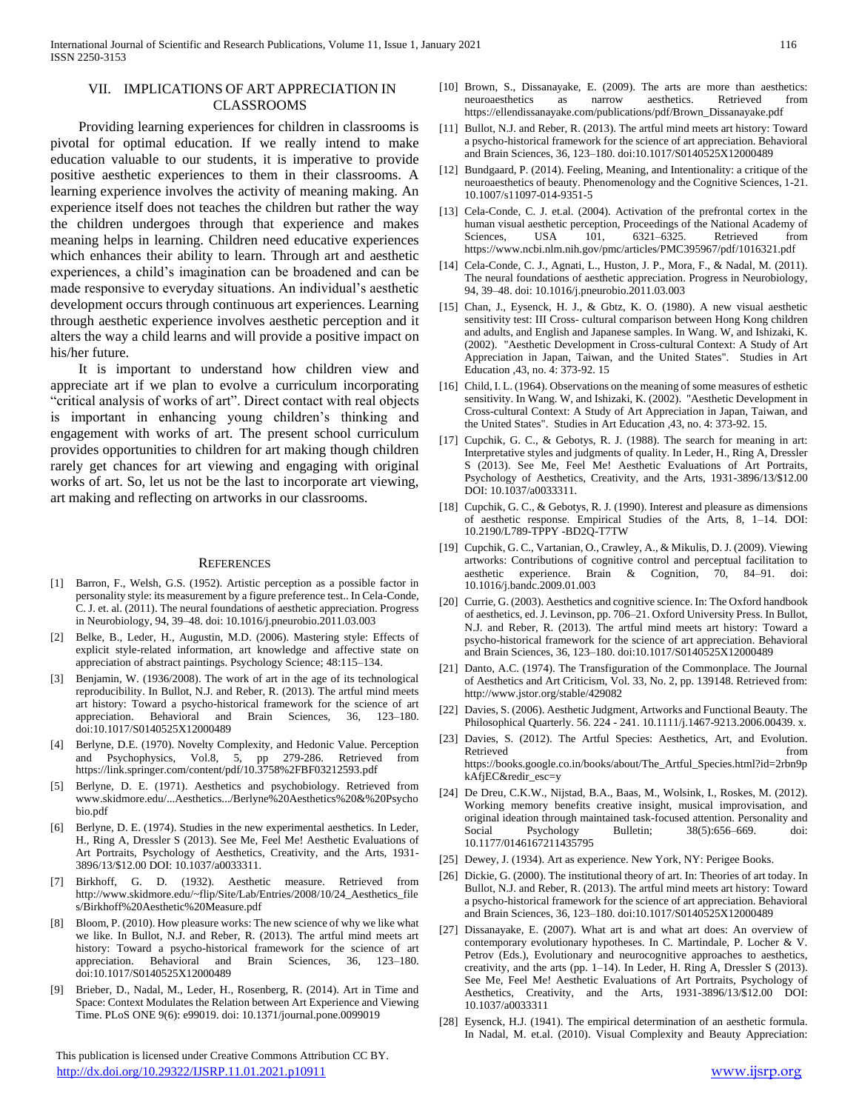#### VII. IMPLICATIONS OF ART APPRECIATION IN CLASSROOMS

 Providing learning experiences for children in classrooms is pivotal for optimal education. If we really intend to make education valuable to our students, it is imperative to provide positive aesthetic experiences to them in their classrooms. A learning experience involves the activity of meaning making. An experience itself does not teaches the children but rather the way the children undergoes through that experience and makes meaning helps in learning. Children need educative experiences which enhances their ability to learn. Through art and aesthetic experiences, a child's imagination can be broadened and can be made responsive to everyday situations. An individual's aesthetic development occurs through continuous art experiences. Learning through aesthetic experience involves aesthetic perception and it alters the way a child learns and will provide a positive impact on his/her future.

 It is important to understand how children view and appreciate art if we plan to evolve a curriculum incorporating "critical analysis of works of art". Direct contact with real objects is important in enhancing young children's thinking and engagement with works of art. The present school curriculum provides opportunities to children for art making though children rarely get chances for art viewing and engaging with original works of art. So, let us not be the last to incorporate art viewing, art making and reflecting on artworks in our classrooms.

#### **REFERENCES**

- [1] Barron, F., Welsh, G.S. (1952). Artistic perception as a possible factor in personality style: its measurement by a figure preference test.. In Cela-Conde, C. J. et. al. (2011). The neural foundations of aesthetic appreciation. Progress in Neurobiology, 94, 39–48. doi: 10.1016/j.pneurobio.2011.03.003
- [2] Belke, B., Leder, H., Augustin, M.D. (2006). Mastering style: Effects of explicit style-related information, art knowledge and affective state on appreciation of abstract paintings. Psychology Science; 48:115–134.
- [3] Benjamin, W. (1936/2008). The work of art in the age of its technological reproducibility. In Bullot, N.J. and Reber, R. (2013). The artful mind meets art history: Toward a psycho-historical framework for the science of art appreciation. Behavioral and Brain Sciences, 36, 123–180. doi:10.1017/S0140525X12000489
- [4] Berlyne, D.E. (1970). Novelty Complexity, and Hedonic Value. Perception and Psychophysics, Vol.8, 5, pp 279-286. Retrieved from https://link.springer.com/content/pdf/10.3758%2FBF03212593.pdf
- [5] Berlyne, D. E. (1971). Aesthetics and psychobiology. Retrieved from www.skidmore.edu/...Aesthetics.../Berlyne%20Aesthetics%20&%20Psycho bio.pdf
- [6] Berlyne, D. E. (1974). Studies in the new experimental aesthetics. In Leder, H., Ring A, Dressler S (2013). See Me, Feel Me! Aesthetic Evaluations of Art Portraits, Psychology of Aesthetics, Creativity, and the Arts, 1931- 3896/13/\$12.00 DOI: 10.1037/a0033311.
- [7] Birkhoff, G. D. (1932). Aesthetic measure. Retrieved from http://www.skidmore.edu/~flip/Site/Lab/Entries/2008/10/24\_Aesthetics\_file s/Birkhoff%20Aesthetic%20Measure.pdf
- [8] Bloom, P. (2010). How pleasure works: The new science of why we like what we like. In Bullot, N.J. and Reber, R. (2013). The artful mind meets art history: Toward a psycho-historical framework for the science of art appreciation. Behavioral and Brain Sciences, 36, 123–180. doi:10.1017/S0140525X12000489
- [9] Brieber, D., Nadal, M., Leder, H., Rosenberg, R. (2014). Art in Time and Space: Context Modulates the Relation between Art Experience and Viewing Time. PLoS ONE 9(6): e99019. doi: 10.1371/journal.pone.0099019

 This publication is licensed under Creative Commons Attribution CC BY. <http://dx.doi.org/10.29322/IJSRP.11.01.2021.p10911> [www.ijsrp.org](http://ijsrp.org/)

- [10] Brown, S., Dissanayake, E. (2009). The arts are more than aesthetics: neuroaesthetics as narrow aesthetics. Retrieved https://ellendissanayake.com/publications/pdf/Brown\_Dissanayake.pdf
- [11] Bullot, N.J. and Reber, R. (2013). The artful mind meets art history: Toward a psycho-historical framework for the science of art appreciation. Behavioral and Brain Sciences, 36, 123–180. doi:10.1017/S0140525X12000489
- [12] Bundgaard, P. (2014). Feeling, Meaning, and Intentionality: a critique of the neuroaesthetics of beauty. Phenomenology and the Cognitive Sciences, 1-21. 10.1007/s11097-014-9351-5
- [13] Cela-Conde, C. J. et.al. (2004). Activation of the prefrontal cortex in the human visual aesthetic perception, Proceedings of the National Academy of Sciences, USA 101, 6321–6325. Retrieved from https://www.ncbi.nlm.nih.gov/pmc/articles/PMC395967/pdf/1016321.pdf
- [14] Cela-Conde, C. J., Agnati, L., Huston, J. P., Mora, F., & Nadal, M. (2011). The neural foundations of aesthetic appreciation. Progress in Neurobiology, 94, 39–48. doi: 10.1016/j.pneurobio.2011.03.003
- [15] Chan, J., Eysenck, H. J., & Gbtz, K. O. (1980). A new visual aesthetic sensitivity test: III Cross- cultural comparison between Hong Kong children and adults, and English and Japanese samples. In Wang. W, and Ishizaki, K. (2002). "Aesthetic Development in Cross-cultural Context: A Study of Art Appreciation in Japan, Taiwan, and the United States". Studies in Art Education ,43, no. 4: 373-92. 15
- [16] Child, I. L. (1964). Observations on the meaning of some measures of esthetic sensitivity. In Wang. W, and Ishizaki, K. (2002). "Aesthetic Development in Cross-cultural Context: A Study of Art Appreciation in Japan, Taiwan, and the United States". Studies in Art Education ,43, no. 4: 373-92. 15.
- [17] Cupchik, G. C., & Gebotys, R. J. (1988). The search for meaning in art: Interpretative styles and judgments of quality. In Leder, H., Ring A, Dressler S (2013). See Me, Feel Me! Aesthetic Evaluations of Art Portraits, Psychology of Aesthetics, Creativity, and the Arts, 1931-3896/13/\$12.00 DOI: 10.1037/a0033311.
- [18] Cupchik, G. C., & Gebotys, R. J. (1990). Interest and pleasure as dimensions of aesthetic response. Empirical Studies of the Arts, 8, 1–14. DOI: 10.2190/L789-TPPY -BD2Q-T7TW
- [19] Cupchik, G. C., Vartanian, O., Crawley, A., & Mikulis, D. J. (2009). Viewing artworks: Contributions of cognitive control and perceptual facilitation to aesthetic experience. Brain & Cognition, 70, 84–91. doi: 10.1016/j.bandc.2009.01.003
- [20] Currie, G. (2003). Aesthetics and cognitive science. In: The Oxford handbook of aesthetics, ed. J. Levinson, pp. 706–21. Oxford University Press. In Bullot, N.J. and Reber, R. (2013). The artful mind meets art history: Toward a psycho-historical framework for the science of art appreciation. Behavioral and Brain Sciences, 36, 123–180. doi:10.1017/S0140525X12000489
- [21] Danto, A.C. (1974). The Transfiguration of the Commonplace. The Journal of Aesthetics and Art Criticism, Vol. 33, No. 2, pp. 139148. Retrieved from: http://www.jstor.org/stable/429082
- [22] Davies, S. (2006). Aesthetic Judgment, Artworks and Functional Beauty. The Philosophical Quarterly. 56. 224 - 241. 10.1111/j.1467-9213.2006.00439. x.
- [23] Davies, S. (2012). The Artful Species: Aesthetics, Art, and Evolution. Retrieved from  $\blacksquare$ https://books.google.co.in/books/about/The\_Artful\_Species.html?id=2rbn9p kAfjEC&redir\_esc=y
- [24] De Dreu, C.K.W., Nijstad, B.A., Baas, M., Wolsink, I., Roskes, M. (2012). Working memory benefits creative insight, musical improvisation, and original ideation through maintained task-focused attention. Personality and Social Psychology Bulletin; 38(5):656–669. doi: Social Psychology Bulletin; 38(5):656–669. doi: 10.1177/0146167211435795
- [25] Dewey, J. (1934). Art as experience. New York, NY: Perigee Books.
- [26] Dickie, G. (2000). The institutional theory of art. In: Theories of art today. In Bullot, N.J. and Reber, R. (2013). The artful mind meets art history: Toward a psycho-historical framework for the science of art appreciation. Behavioral and Brain Sciences, 36, 123–180. doi:10.1017/S0140525X12000489
- [27] Dissanayake, E. (2007). What art is and what art does: An overview of contemporary evolutionary hypotheses. In C. Martindale, P. Locher & V. Petrov (Eds.), Evolutionary and neurocognitive approaches to aesthetics, creativity, and the arts (pp. 1–14). In Leder, H. Ring A, Dressler S (2013). See Me, Feel Me! Aesthetic Evaluations of Art Portraits, Psychology of Aesthetics, Creativity, and the Arts, 1931-3896/13/\$12.00 DOI: 10.1037/a0033311
- [28] Eysenck, H.J. (1941). The empirical determination of an aesthetic formula. In Nadal, M. et.al. (2010). Visual Complexity and Beauty Appreciation: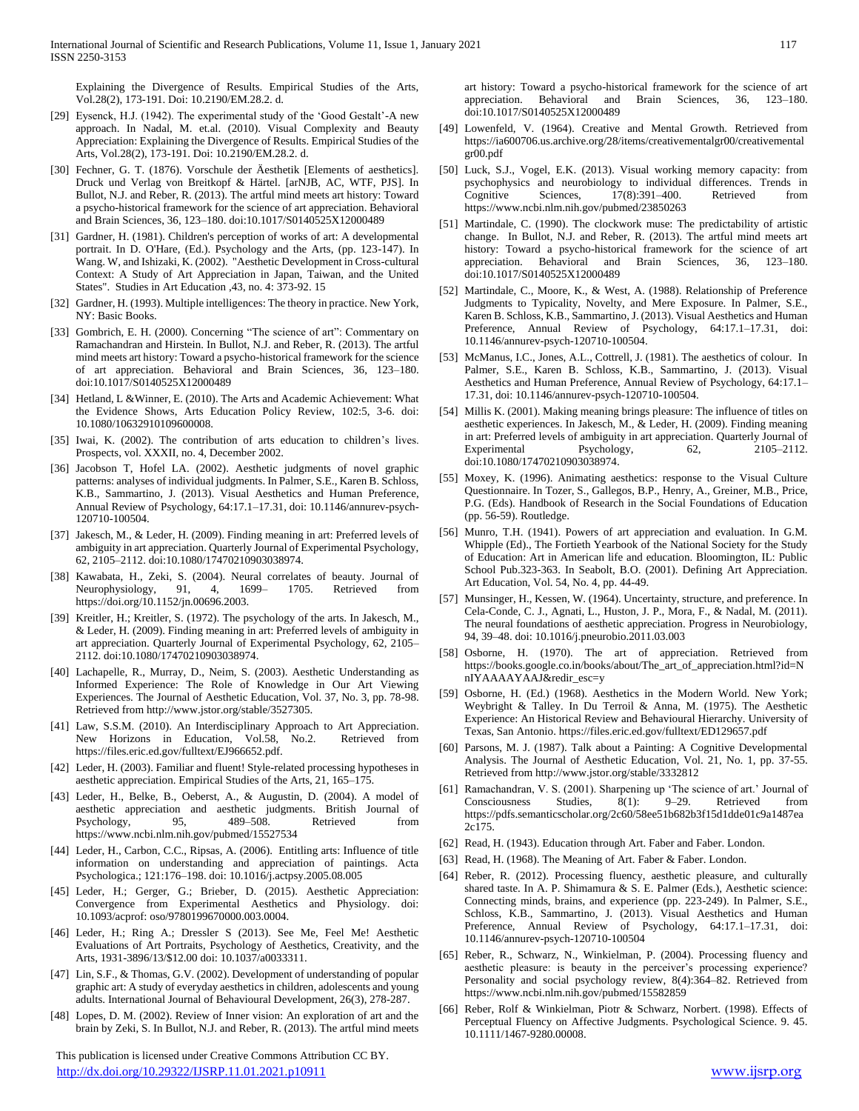Explaining the Divergence of Results. Empirical Studies of the Arts, Vol.28(2), 173-191. Doi: 10.2190/EM.28.2. d.

- [29] Eysenck, H.J. (1942). The experimental study of the 'Good Gestalt'-A new approach. In Nadal, M. et.al. (2010). Visual Complexity and Beauty Appreciation: Explaining the Divergence of Results. Empirical Studies of the Arts, Vol.28(2), 173-191. Doi: 10.2190/EM.28.2. d.
- [30] Fechner, G. T. (1876). Vorschule der Äesthetik [Elements of aesthetics]. Druck und Verlag von Breitkopf & Härtel. [arNJB, AC, WTF, PJS]. In Bullot, N.J. and Reber, R. (2013). The artful mind meets art history: Toward a psycho-historical framework for the science of art appreciation. Behavioral and Brain Sciences, 36, 123–180. doi:10.1017/S0140525X12000489
- [31] Gardner, H. (1981). Children's perception of works of art: A developmental portrait. In D. O'Hare, (Ed.). Psychology and the Arts, (pp. 123-147). In Wang. W, and Ishizaki, K. (2002). "Aesthetic Development in Cross-cultural Context: A Study of Art Appreciation in Japan, Taiwan, and the United States". Studies in Art Education ,43, no. 4: 373-92. 15
- [32] Gardner, H. (1993). Multiple intelligences: The theory in practice. New York, NY: Basic Books.
- [33] Gombrich, E. H. (2000). Concerning "The science of art": Commentary on Ramachandran and Hirstein. In Bullot, N.J. and Reber, R. (2013). The artful mind meets art history: Toward a psycho-historical framework for the science of art appreciation. Behavioral and Brain Sciences, 36, 123–180. doi:10.1017/S0140525X12000489
- [34] Hetland, L &Winner, E. (2010). The Arts and Academic Achievement: What the Evidence Shows, Arts Education Policy Review, 102:5, 3-6. doi: 10.1080/10632910109600008.
- [35] Iwai, K. (2002). The contribution of arts education to children's lives. Prospects, vol. XXXII, no. 4, December 2002.
- [36] Jacobson T, Hofel LA. (2002). Aesthetic judgments of novel graphic patterns: analyses of individual judgments. In Palmer, S.E., Karen B. Schloss, K.B., Sammartino, J. (2013). Visual Aesthetics and Human Preference, Annual Review of Psychology, 64:17.1–17.31, doi: 10.1146/annurev-psych-120710-100504.
- [37] Jakesch, M., & Leder, H. (2009). Finding meaning in art: Preferred levels of ambiguity in art appreciation. Quarterly Journal of Experimental Psychology, 62, 2105–2112. doi:10.1080/17470210903038974.
- [38] Kawabata, H., Zeki, S. (2004). Neural correlates of beauty. Journal of Neurophysiology, 91, 4, 1699– 1705. Retrieved from https://doi.org/10.1152/jn.00696.2003.
- [39] Kreitler, H.; Kreitler, S. (1972). The psychology of the arts. In Jakesch, M., & Leder, H. (2009). Finding meaning in art: Preferred levels of ambiguity in art appreciation. Quarterly Journal of Experimental Psychology, 62, 2105– 2112. doi:10.1080/17470210903038974.
- [40] Lachapelle, R., Murray, D., Neim, S. (2003). Aesthetic Understanding as Informed Experience: The Role of Knowledge in Our Art Viewing Experiences. The Journal of Aesthetic Education, Vol. 37, No. 3, pp. 78-98. Retrieved from http://www.jstor.org/stable/3527305.
- [41] Law, S.S.M. (2010). An Interdisciplinary Approach to Art Appreciation. New Horizons in Education, Vol.58, No.2. Retrieved from https://files.eric.ed.gov/fulltext/EJ966652.pdf.
- [42] Leder, H. (2003). Familiar and fluent! Style-related processing hypotheses in aesthetic appreciation. Empirical Studies of the Arts, 21, 165–175.
- [43] Leder, H., Belke, B., Oeberst, A., & Augustin, D. (2004). A model of aesthetic appreciation and aesthetic judgments. British Journal of Psychology, 95, 489–508. Retrieved from https://www.ncbi.nlm.nih.gov/pubmed/15527534
- [44] Leder, H., Carbon, C.C., Ripsas, A. (2006). Entitling arts: Influence of title information on understanding and appreciation of paintings. Acta Psychologica.; 121:176–198. doi: 10.1016/j.actpsy.2005.08.005
- [45] Leder, H.; Gerger, G.; Brieber, D. (2015). Aesthetic Appreciation: Convergence from Experimental Aesthetics and Physiology. doi: 10.1093/acprof: oso/9780199670000.003.0004.
- [46] Leder, H.; Ring A.; Dressler S (2013). See Me, Feel Me! Aesthetic Evaluations of Art Portraits, Psychology of Aesthetics, Creativity, and the Arts, 1931-3896/13/\$12.00 doi: 10.1037/a0033311.
- [47] Lin, S.F., & Thomas, G.V. (2002). Development of understanding of popular graphic art: A study of everyday aesthetics in children, adolescents and young adults. International Journal of Behavioural Development, 26(3), 278-287.
- [48] Lopes, D. M. (2002). Review of Inner vision: An exploration of art and the brain by Zeki, S. In Bullot, N.J. and Reber, R. (2013). The artful mind meets

 This publication is licensed under Creative Commons Attribution CC BY. <http://dx.doi.org/10.29322/IJSRP.11.01.2021.p10911> [www.ijsrp.org](http://ijsrp.org/)

art history: Toward a psycho-historical framework for the science of art appreciation. Behavioral and Brain Sciences, 36, 123–180. doi:10.1017/S0140525X12000489

- [49] Lowenfeld, V. (1964). Creative and Mental Growth. Retrieved from https://ia600706.us.archive.org/28/items/creativementalgr00/creativemental gr00.pdf
- [50] Luck, S.J., Vogel, E.K. (2013). Visual working memory capacity: from psychophysics and neurobiology to individual differences. Trends in Cognitive Sciences, 17(8):391–400. Retrieved from https://www.ncbi.nlm.nih.gov/pubmed/23850263
- [51] Martindale, C. (1990). The clockwork muse: The predictability of artistic change. In Bullot, N.J. and Reber, R. (2013). The artful mind meets art history: Toward a psycho-historical framework for the science of art appreciation. Behavioral and Brain Sciences, 36, 123–180. doi:10.1017/S0140525X12000489
- [52] Martindale, C., Moore, K., & West, A. (1988). Relationship of Preference Judgments to Typicality, Novelty, and Mere Exposure. In Palmer, S.E., Karen B. Schloss, K.B., Sammartino, J. (2013). Visual Aesthetics and Human Preference, Annual Review of Psychology, 64:17.1–17.31, doi: 10.1146/annurev-psych-120710-100504.
- [53] McManus, I.C., Jones, A.L., Cottrell, J. (1981). The aesthetics of colour. In Palmer, S.E., Karen B. Schloss, K.B., Sammartino, J. (2013). Visual Aesthetics and Human Preference, Annual Review of Psychology, 64:17.1– 17.31, doi: 10.1146/annurev-psych-120710-100504.
- [54] Millis K. (2001). Making meaning brings pleasure: The influence of titles on aesthetic experiences. In Jakesch, M., & Leder, H. (2009). Finding meaning in art: Preferred levels of ambiguity in art appreciation. Quarterly Journal of Experimental Psychology, 62, 2105–2112. doi:10.1080/17470210903038974.
- [55] Moxey, K. (1996). Animating aesthetics: response to the Visual Culture Questionnaire. In Tozer, S., Gallegos, B.P., Henry, A., Greiner, M.B., Price, P.G. (Eds). Handbook of Research in the Social Foundations of Education (pp. 56-59). Routledge.
- [56] Munro, T.H. (1941). Powers of art appreciation and evaluation. In G.M. Whipple (Ed)., The Fortieth Yearbook of the National Society for the Study of Education: Art in American life and education. Bloomington, IL: Public School Pub.323-363. In Seabolt, B.O. (2001). Defining Art Appreciation. Art Education, Vol. 54, No. 4, pp. 44-49.
- [57] Munsinger, H., Kessen, W. (1964). Uncertainty, structure, and preference. In Cela-Conde, C. J., Agnati, L., Huston, J. P., Mora, F., & Nadal, M. (2011). The neural foundations of aesthetic appreciation. Progress in Neurobiology, 94, 39–48. doi: 10.1016/j.pneurobio.2011.03.003
- [58] Osborne, H. (1970). The art of appreciation. Retrieved from https://books.google.co.in/books/about/The\_art\_of\_appreciation.html?id=N nIYAAAAYAAJ&redir\_esc=y
- [59] Osborne, H. (Ed.) (1968). Aesthetics in the Modern World. New York; Weybright & Talley. In Du Terroil & Anna, M. (1975). The Aesthetic Experience: An Historical Review and Behavioural Hierarchy. University of Texas, San Antonio. https://files.eric.ed.gov/fulltext/ED129657.pdf
- [60] Parsons, M. J. (1987). Talk about a Painting: A Cognitive Developmental Analysis. The Journal of Aesthetic Education, Vol. 21, No. 1, pp. 37-55. Retrieved from http://www.jstor.org/stable/3332812
- [61] Ramachandran, V. S. (2001). Sharpening up 'The science of art.' Journal of Consciousness Studies, 8(1): 9–29. Retrieved from https://pdfs.semanticscholar.org/2c60/58ee51b682b3f15d1dde01c9a1487ea 2c175.
- [62] Read, H. (1943). Education through Art. Faber and Faber. London.
- [63] Read, H. (1968). The Meaning of Art. Faber & Faber. London.
- [64] Reber, R. (2012). Processing fluency, aesthetic pleasure, and culturally shared taste. In A. P. Shimamura & S. E. Palmer (Eds.), Aesthetic science: Connecting minds, brains, and experience (pp. 223-249). In Palmer, S.E., Schloss, K.B., Sammartino, J. (2013). Visual Aesthetics and Human Preference, Annual Review of Psychology, 64:17.1–17.31, doi: 10.1146/annurev-psych-120710-100504
- [65] Reber, R., Schwarz, N., Winkielman, P. (2004). Processing fluency and aesthetic pleasure: is beauty in the perceiver's processing experience? Personality and social psychology review, 8(4):364–82. Retrieved from https://www.ncbi.nlm.nih.gov/pubmed/15582859
- [66] Reber, Rolf & Winkielman, Piotr & Schwarz, Norbert. (1998). Effects of Perceptual Fluency on Affective Judgments. Psychological Science. 9. 45. 10.1111/1467-9280.00008.